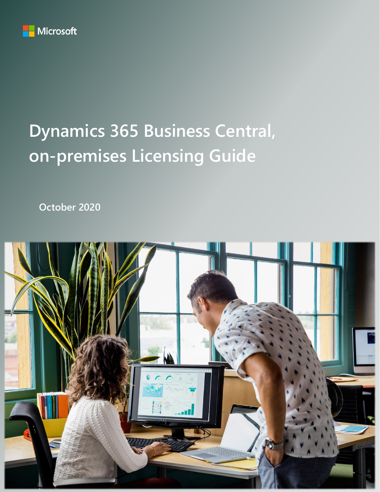

# **Dynamics 365 Business Central, on-premises Licensing Guide**

**October 2020**

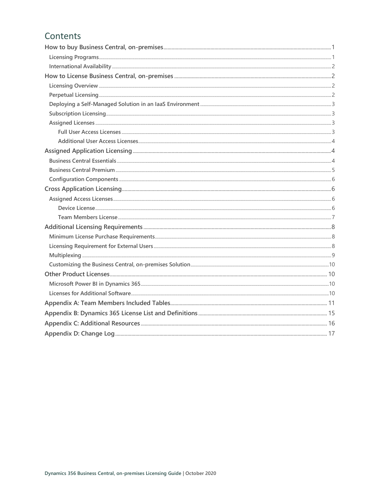# Contents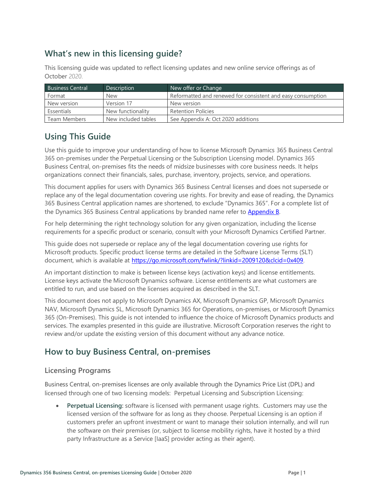# **What's new in this licensing guide?**

This licensing guide was updated to reflect licensing updates and new online service offerings as of October 2020.

| <b>Business Central</b> | <b>Description</b>  | New offer or Change                                         |
|-------------------------|---------------------|-------------------------------------------------------------|
| Format                  | <b>New</b>          | Reformatted and renewed for consistent and easy consumption |
| New version             | Version 17          | New version                                                 |
| Essentials              | New functionality   | <b>Retention Policies</b>                                   |
| Team Members            | New included tables | See Appendix A: Oct 2020 additions                          |

# **Using This Guide**

Use this guide to improve your understanding of how to license Microsoft Dynamics 365 Business Central 365 on-premises under the Perpetual Licensing or the Subscription Licensing model. Dynamics 365 Business Central, on-premises fits the needs of midsize businesses with core business needs. It helps organizations connect their financials, sales, purchase, inventory, projects, service, and operations.

This document applies for users with Dynamics 365 Business Central licenses and does not supersede or replace any of the legal documentation covering use rights. For brevity and ease of reading, the Dynamics 365 Business Central application names are shortened, to exclude "Dynamics 365". For a complete list of the Dynamics 365 Business Central applications by branded name refer to **Appendix B**.

For help determining the right technology solution for any given organization, including the license requirements for a specific product or scenario, consult with your Microsoft Dynamics Certified Partner.

This guide does not supersede or replace any of the legal documentation covering use rights for Microsoft products. Specific product license terms are detailed in the Software License Terms (SLT) document, which is available at<https://go.microsoft.com/fwlink/?linkid=2009120&clcid=0x409>.

An important distinction to make is between license keys (activation keys) and license entitlements. License keys activate the Microsoft Dynamics software. License entitlements are what customers are entitled to run, and use based on the licenses acquired as described in the SLT.

This document does not apply to Microsoft Dynamics AX, Microsoft Dynamics GP, Microsoft Dynamics NAV, Microsoft Dynamics SL, Microsoft Dynamics 365 for Operations, on-premises, or Microsoft Dynamics 365 (On-Premises). This guide is not intended to influence the choice of Microsoft Dynamics products and services. The examples presented in this guide are illustrative. Microsoft Corporation reserves the right to review and/or update the existing version of this document without any advance notice.

# <span id="page-2-0"></span>**How to buy Business Central, on-premises**

## <span id="page-2-1"></span>**Licensing Programs**

Business Central, on-premises licenses are only available through the Dynamics Price List (DPL) and licensed through one of two licensing models: Perpetual Licensing and Subscription Licensing:

• **Perpetual Licensing:** software is licensed with permanent usage rights. Customers may use the licensed version of the software for as long as they choose. Perpetual Licensing is an option if customers prefer an upfront investment or want to manage their solution internally, and will run the software on their premises (or, subject to license mobility rights, have it hosted by a third party Infrastructure as a Service [IaaS] provider acting as their agent).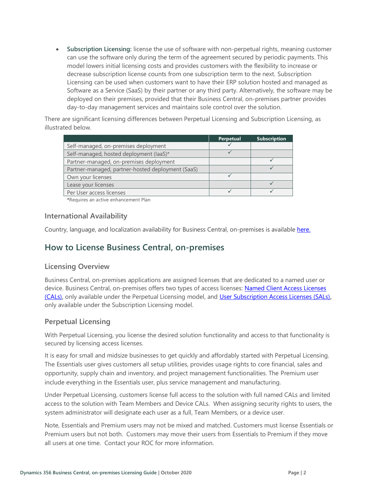• **Subscription Licensing:** license the use of software with non-perpetual rights, meaning customer can use the software only during the term of the agreement secured by periodic payments. This model lowers initial licensing costs and provides customers with the flexibility to increase or decrease subscription license counts from one subscription term to the next. Subscription Licensing can be used when customers want to have their ERP solution hosted and managed as Software as a Service (SaaS) by their partner or any third party. Alternatively, the software may be deployed on their premises, provided that their Business Central, on-premises partner provides day-to-day management services and maintains sole control over the solution.

There are significant licensing differences between Perpetual Licensing and Subscription Licensing, as illustrated below.

|                                                   | <b>Perpetual</b> | <b>Subscription</b> |
|---------------------------------------------------|------------------|---------------------|
| Self-managed, on-premises deployment              |                  |                     |
| Self-managed, hosted deployment (laaS)*           |                  |                     |
| Partner-managed, on-premises deployment           |                  |                     |
| Partner-managed, partner-hosted deployment (SaaS) |                  |                     |
| Own your licenses                                 |                  |                     |
| Lease your licenses                               |                  |                     |
| Per User access licenses                          |                  |                     |

**\***Requires an active enhancement Plan

## <span id="page-3-0"></span>**International Availability**

<span id="page-3-1"></span>Country, language, and localization availability for Business Central, on-premises is available [here.](https://docs.microsoft.com/dynamics365/business-central/dev-itpro/compliance/apptest-countries-and-translations#planned-future-availability)

## **How to License Business Central, on-premises**

## <span id="page-3-2"></span>**Licensing Overview**

Business Central, on-premises applications are assigned licenses that are dedicated to a named user or device. Business Central, on-premises offers two types of access licenses: [Named Client Access Licenses](#page-16-1) [\(CALs\)](#page-16-1)**,** only available under the Perpetual Licensing model, and [User Subscription Access Licenses \(SALs\)](#page-16-2)**,** only available under the Subscription Licensing model.

## <span id="page-3-3"></span>**Perpetual Licensing**

With Perpetual Licensing, you license the desired solution functionality and access to that functionality is secured by licensing access licenses.

It is easy for small and midsize businesses to get quickly and affordably started with Perpetual Licensing. The Essentials user gives customers all setup utilities, provides usage rights to core financial, sales and opportunity, supply chain and inventory, and project management functionalities. The Premium user include everything in the Essentials user, plus service management and manufacturing.

Under Perpetual Licensing, customers license full access to the solution with full named CALs and limited access to the solution with Team Members and Device CALs. When assigning security rights to users, the system administrator will designate each user as a full, Team Members, or a device user.

Note, Essentials and Premium users may not be mixed and matched. Customers must license Essentials or Premium users but not both. Customers may move their users from Essentials to Premium if they move all users at one time. Contact your ROC for more information.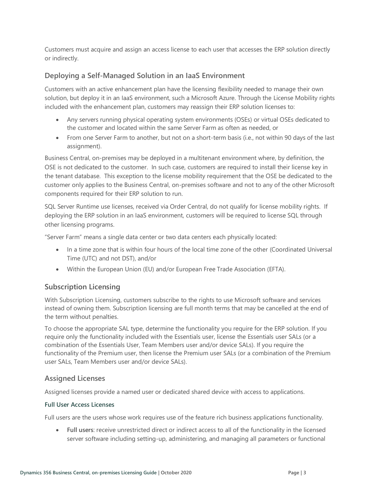Customers must acquire and assign an access license to each user that accesses the ERP solution directly or indirectly.

## <span id="page-4-0"></span>**Deploying a Self-Managed Solution in an IaaS Environment**

Customers with an active enhancement plan have the licensing flexibility needed to manage their own solution, but deploy it in an IaaS environment, such a Microsoft Azure. Through the License Mobility rights included with the enhancement plan, customers may reassign their ERP solution licenses to:

- Any servers running physical operating system environments (OSEs) or virtual OSEs dedicated to the customer and located within the same Server Farm as often as needed, or
- From one Server Farm to another, but not on a short-term basis (i.e., not within 90 days of the last assignment).

Business Central, on-premises may be deployed in a multitenant environment where, by definition, the OSE is not dedicated to the customer. In such case, customers are required to install their license key in the tenant database. This exception to the license mobility requirement that the OSE be dedicated to the customer only applies to the Business Central, on-premises software and not to any of the other Microsoft components required for their ERP solution to run.

SQL Server Runtime use licenses, received via Order Central, do not qualify for license mobility rights. If deploying the ERP solution in an IaaS environment, customers will be required to license SQL through other licensing programs.

"Server Farm" means a single data center or two data centers each physically located:

- In a time zone that is within four hours of the local time zone of the other (Coordinated Universal Time (UTC) and not DST), and/or
- Within the European Union (EU) and/or European Free Trade Association (EFTA).

## <span id="page-4-1"></span>**Subscription Licensing**

With Subscription Licensing, customers subscribe to the rights to use Microsoft software and services instead of owning them. Subscription licensing are full month terms that may be cancelled at the end of the term without penalties.

To choose the appropriate SAL type, determine the functionality you require for the ERP solution. If you require only the functionality included with the Essentials user, license the Essentials user SALs (or a combination of the Essentials User, Team Members user and/or device SALs). If you require the functionality of the Premium user, then license the Premium user SALs (or a combination of the Premium user SALs, Team Members user and/or device SALs).

## <span id="page-4-2"></span>**Assigned Licenses**

Assigned licenses provide a named user or dedicated shared device with access to applications.

#### <span id="page-4-3"></span>**Full User Access Licenses**

Full users are the users whose work requires use of the feature rich business applications functionality.

• **Full users**: receive unrestricted direct or indirect access to all of the functionality in the licensed server software including setting-up, administering, and managing all parameters or functional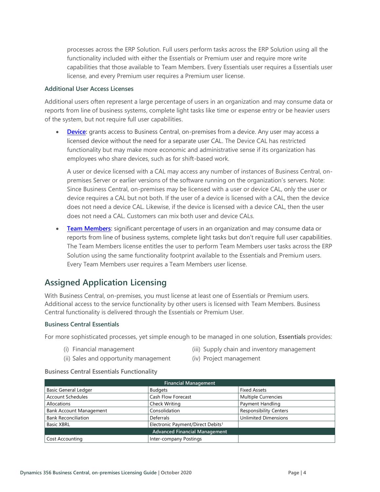processes across the ERP Solution. Full users perform tasks across the ERP Solution using all the functionality included with either the Essentials or Premium user and require more write capabilities that those available to Team Members. Every Essentials user requires a Essentials user license, and every Premium user requires a Premium user license.

#### <span id="page-5-0"></span>**Additional User Access Licenses**

Additional users often represent a large percentage of users in an organization and may consume data or reports from line of business systems, complete light tasks like time or expense entry or be heavier users of the system, but not require full user capabilities.

• **[Device:](#page-7-3)** grants access to Business Central, on-premises from a device. Any user may access a licensed device without the need for a separate user CAL. The Device CAL has restricted functionality but may make more economic and administrative sense if its organization has employees who share devices, such as for shift-based work.

A user or device licensed with a CAL may access any number of instances of Business Central, onpremises Server or earlier versions of the software running on the organization's servers. Note: Since Business Central, on-premises may be licensed with a user or device CAL, only the user or device requires a CAL but not both. If the user of a device is licensed with a CAL, then the device does not need a device CAL. Likewise, if the device is licensed with a device CAL, then the user does not need a CAL. Customers can mix both user and device CALs.

• **[Team Members:](#page-8-0)** significant percentage of users in an organization and may consume data or reports from line of business systems, complete light tasks but don't require full user capabilities. The Team Members license entitles the user to perform Team Members user tasks across the ERP Solution using the same functionality footprint available to the Essentials and Premium users. Every Team Members user requires a Team Members user license.

# <span id="page-5-1"></span>**Assigned Application Licensing**

With Business Central, on-premises, you must license at least one of Essentials or Premium users. Additional access to the service functionality by other users is licensed with Team Members. Business Central functionality is delivered through the Essentials or Premium User.

#### <span id="page-5-2"></span>**Business Central Essentials**

For more sophisticated processes, yet simple enough to be managed in one solution, **Essentials** provides:

(i) Financial management

- (iii) Supply chain and inventory management
- (ii) Sales and opportunity management
- (iv) Project management

#### **Business Central Essentials Functionality**

| Financial Management                 |                                               |                               |  |
|--------------------------------------|-----------------------------------------------|-------------------------------|--|
| <b>Basic General Ledger</b>          | <b>Budgets</b>                                | <b>Fixed Assets</b>           |  |
| <b>Account Schedules</b>             | <b>Cash Flow Forecast</b>                     | <b>Multiple Currencies</b>    |  |
| Allocations                          | <b>Check Writing</b>                          | Payment Handling              |  |
| <b>Bank Account Management</b>       | Consolidation                                 | <b>Responsibility Centers</b> |  |
| <b>Bank Reconciliation</b>           | Deferrals                                     | <b>Unlimited Dimensions</b>   |  |
| <b>Basic XBRL</b>                    | Electronic Payment/Direct Debits <sup>1</sup> |                               |  |
| <b>Advanced Financial Management</b> |                                               |                               |  |
| Cost Accounting                      | Inter-company Postings                        |                               |  |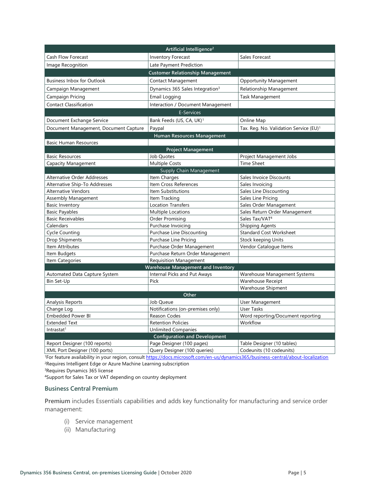| Artificial Intelligence <sup>2</sup>  |                                             |                                                    |  |
|---------------------------------------|---------------------------------------------|----------------------------------------------------|--|
| Cash Flow Forecast                    | <b>Inventory Forecast</b>                   | Sales Forecast                                     |  |
| Image Recognition                     | Late Payment Prediction                     |                                                    |  |
|                                       | <b>Customer Relationship Management</b>     |                                                    |  |
| <b>Business Inbox for Outlook</b>     | Contact Management                          | <b>Opportunity Management</b>                      |  |
| Campaign Management                   | Dynamics 365 Sales Integration <sup>3</sup> | Relationship Management                            |  |
| Campaign Pricing                      | Email Logging                               | Task Management                                    |  |
| <b>Contact Classification</b>         | Interaction / Document Management           |                                                    |  |
|                                       | E-Services                                  |                                                    |  |
| Document Exchange Service             | Bank Feeds (US, CA, UK) <sup>1</sup>        | Online Map                                         |  |
| Document Management, Document Capture | Paypal                                      | Tax. Reg. No. Validation Service (EU) <sup>1</sup> |  |
|                                       | Human Resources Management                  |                                                    |  |
| <b>Basic Human Resources</b>          |                                             |                                                    |  |
|                                       | <b>Project Management</b>                   |                                                    |  |
| <b>Basic Resources</b>                | Job Quotes                                  | Project Management Jobs                            |  |
| <b>Capacity Management</b>            | <b>Multiple Costs</b>                       | <b>Time Sheet</b>                                  |  |
|                                       | Supply Chain Management                     |                                                    |  |
| Alternative Order Addresses           | Item Charges                                | Sales Invoice Discounts                            |  |
| Alternative Ship-To Addresses         | Item Cross References                       | Sales Invoicing                                    |  |
| <b>Alternative Vendors</b>            | Item Substitutions                          | Sales Line Discounting                             |  |
| Assembly Management                   | Item Tracking                               | Sales Line Pricing                                 |  |
| <b>Basic Inventory</b>                | Location Transfers                          | Sales Order Management                             |  |
| <b>Basic Payables</b>                 | <b>Multiple Locations</b>                   | Sales Return Order Management                      |  |
| <b>Basic Receivables</b>              | Order Promising                             | Sales Tax/VAT <sup>4</sup>                         |  |
| Calendars                             | Purchase Invoicing                          | <b>Shipping Agents</b>                             |  |
| <b>Cycle Counting</b>                 | Purchase Line Discounting                   | <b>Standard Cost Worksheet</b>                     |  |
| <b>Drop Shipments</b>                 | Purchase Line Pricing                       | Stock keeping Units                                |  |
| Item Attributes                       | Purchase Order Management                   | Vendor Catalogue Items                             |  |
| Item Budgets                          | Purchase Return Order Management            |                                                    |  |
| Item Categories                       | <b>Requisition Management</b>               |                                                    |  |
|                                       | <b>Warehouse Management and Inventory</b>   |                                                    |  |
| Automated Data Capture System         | Internal Picks and Put Aways                | Warehouse Management Systems                       |  |
| Bin Set-Up                            | Pick                                        | <b>Warehouse Receipt</b>                           |  |
|                                       |                                             | Warehouse Shipment                                 |  |
| Other                                 |                                             |                                                    |  |
| Analysis Reports                      | Job Queue                                   | User Management                                    |  |
| Change Log                            | Notifications (on-premises only)            | <b>User Tasks</b>                                  |  |
| <b>Embedded Power BI</b>              | Reason Codes                                | Word reporting/Document reporting                  |  |
| <b>Extended Text</b>                  | <b>Retention Policies</b>                   | Workflow                                           |  |
| Intrastat <sup>1</sup>                | <b>Unlimited Companies</b>                  |                                                    |  |
| <b>Configuration and Development</b>  |                                             |                                                    |  |
| Report Designer (100 reports)         | Page Designer (100 pages)                   | Table Designer (10 tables)                         |  |
| XML Port Designer (100 ports)         | Query Designer (100 queries)                | Codeunits (10 codeunits)                           |  |

1For feature availability in your region, consult [https://docs.microsoft.com/en-us/dynamics365/business-central/about-localization](https://nam06.safelinks.protection.outlook.com/?url=https%3A%2F%2Fdocs.microsoft.com%2Fen-us%2Fdynamics365%2Fbusiness-central%2Fabout-localization&data=02%7C01%7Cv-decaro%40microsoft.com%7Cd2aa8d6cb0e34d67535808d78553b2bd%7C72f988bf86f141af91ab2d7cd011db47%7C1%7C0%7C637124466836550525&sdata=Tm0JOsRi7vEuRnTf7u89WTXntgayOX7Iagr7mtzBHnA%3D&reserved=0) <sup>2</sup>Requires Intelligent Edge or Azure Machine Learning subscription

<sup>3</sup>Requires Dynamics 365 license

<sup>4</sup>Support for Sales Tax or VAT depending on country deployment

#### <span id="page-6-0"></span>**Business Central Premium**

**Premium** includes Essentials capabilities and adds key functionality for manufacturing and service order management:

- (i) Service management
- (ii) Manufacturing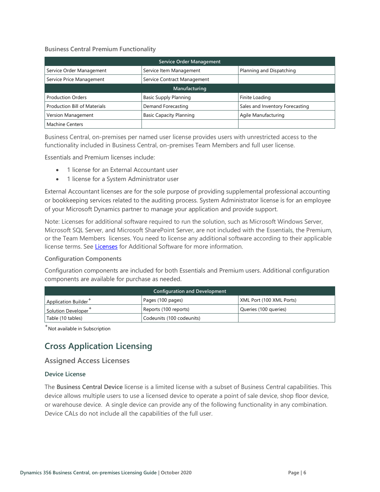#### **Business Central Premium Functionality**

| <b>Service Order Management</b> |                                |                                 |  |
|---------------------------------|--------------------------------|---------------------------------|--|
| Service Order Management        | Service Item Management        | Planning and Dispatching        |  |
| Service Price Management        | Service Contract Management    |                                 |  |
| Manufacturing                   |                                |                                 |  |
| <b>Production Orders</b>        | <b>Basic Supply Planning</b>   | Finite Loading                  |  |
| Production Bill of Materials    | Demand Forecasting             | Sales and Inventory Forecasting |  |
| Version Management              | <b>Basic Capacity Planning</b> | Agile Manufacturing             |  |
| <b>Machine Centers</b>          |                                |                                 |  |

Business Central, on-premises per named user license provides users with unrestricted access to the functionality included in Business Central, on-premises Team Members and full user license.

Essentials and Premium licenses include:

- 1 license for an External Accountant user
- 1 license for a System Administrator user

External Accountant licenses are for the sole purpose of providing supplemental professional accounting or bookkeeping services related to the auditing process. System Administrator license is for an employee of your Microsoft Dynamics partner to manage your application and provide support.

Note: Licenses for additional software required to run the solution, such as Microsoft Windows Server, Microsoft SQL Server, and Microsoft SharePoint Server, are not included with the Essentials, the Premium, or the Team Members licenses. You need to license any additional software according to their applicable license terms. See [Licenses](https://www.microsoft.com/en-us/Licensing/how-to-buy/how-to-buy.aspx) for Additional Software for more information.

#### <span id="page-7-0"></span>**Configuration Components**

Configuration components are included for both Essentials and Premium users. Additional configuration components are available for purchase as needed.

| <b>Configuration and Development</b>                                              |                           |                       |  |  |
|-----------------------------------------------------------------------------------|---------------------------|-----------------------|--|--|
| XML Port (100 XML Ports)<br>Pages (100 pages)<br>Application Builder <sup>-</sup> |                           |                       |  |  |
| Reports (100 reports)<br>Solution Developer                                       |                           | Queries (100 queries) |  |  |
| Table (10 tables)                                                                 | Codeunits (100 codeunits) |                       |  |  |

<span id="page-7-1"></span>+ Not available in Subscription

# **Cross Application Licensing**

## <span id="page-7-2"></span>**Assigned Access Licenses**

#### <span id="page-7-3"></span>**Device License**

The **Business Central Device** license is a limited license with a subset of Business Central capabilities. This device allows multiple users to use a licensed device to operate a point of sale device, shop floor device, or warehouse device. A single device can provide any of the following functionality in any combination. Device CALs do not include all the capabilities of the full user.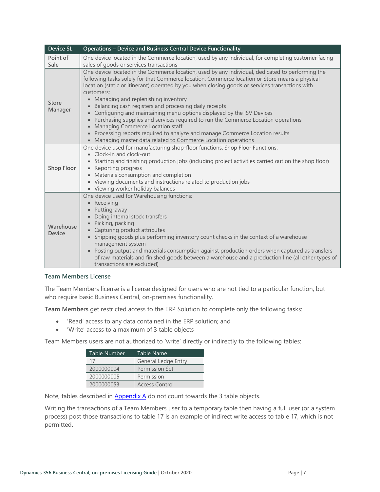| <b>Device SL</b>           | <b>Operations - Device and Business Central Device Functionality</b>                                                                                                                                                                                                                                                                                                                                                                                                                                                                                                                                                                                                                                                                                                            |
|----------------------------|---------------------------------------------------------------------------------------------------------------------------------------------------------------------------------------------------------------------------------------------------------------------------------------------------------------------------------------------------------------------------------------------------------------------------------------------------------------------------------------------------------------------------------------------------------------------------------------------------------------------------------------------------------------------------------------------------------------------------------------------------------------------------------|
| Point of<br>Sale           | One device located in the Commerce location, used by any individual, for completing customer facing<br>sales of goods or services transactions                                                                                                                                                                                                                                                                                                                                                                                                                                                                                                                                                                                                                                  |
| <b>Store</b><br>Manager    | One device located in the Commerce location, used by any individual, dedicated to performing the<br>following tasks solely for that Commerce location. Commerce location or Store means a physical<br>location (static or itinerant) operated by you when closing goods or services transactions with<br>customers:<br>Managing and replenishing inventory<br>Balancing cash registers and processing daily receipts<br>• Configuring and maintaining menu options displayed by the ISV Devices<br>• Purchasing supplies and services required to run the Commerce Location operations<br>• Managing Commerce Location staff<br>• Processing reports required to analyze and manage Commerce Location results<br>• Managing master data related to Commerce Location operations |
| <b>Shop Floor</b>          | One device used for manufacturing shop-floor functions. Shop Floor Functions:<br>• Clock-in and clock-out<br>• Starting and finishing production jobs (including project activities carried out on the shop floor)<br>Reporting progress<br>• Materials consumption and completion<br>• Viewing documents and instructions related to production jobs<br>• Viewing worker holiday balances                                                                                                                                                                                                                                                                                                                                                                                      |
| Warehouse<br><b>Device</b> | One device used for Warehousing functions:<br>• Receiving<br>Putting-away<br>Doing internal stock transfers<br>· Picking, packing<br>• Capturing product attributes<br>Shipping goods plus performing inventory count checks in the context of a warehouse<br>management system<br>• Posting output and materials consumption against production orders when captured as transfers<br>of raw materials and finished goods between a warehouse and a production line (all other types of<br>transactions are excluded)                                                                                                                                                                                                                                                           |

#### <span id="page-8-0"></span>**Team Members License**

The Team Members license is a license designed for users who are not tied to a particular function, but who require basic Business Central, on-premises functionality.

**Team Members** get restricted access to the ERP Solution to complete only the following tasks:

- 'Read' access to any data contained in the ERP solution; and
- 'Write' access to a maximum of 3 table objects

Team Members users are not authorized to 'write' directly or indirectly to the following tables:

| Table Number | Table Name                 |
|--------------|----------------------------|
| 17           | <b>General Ledge Entry</b> |
| 2000000004   | <b>Permission Set</b>      |
| 2000000005   | Permission                 |
| 2000000053   | <b>Access Control</b>      |

Note, tables described in **Appendix A** do not count towards the 3 table objects.

Writing the transactions of a Team Members user to a temporary table then having a full user (or a system process) post those transactions to table 17 is an example of indirect write access to table 17, which is not permitted.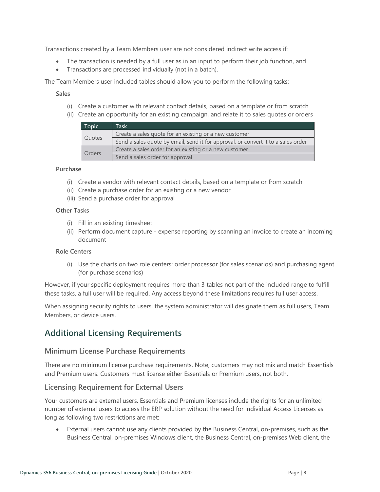Transactions created by a Team Members user are not considered indirect write access if:

- The transaction is needed by a full user as in an input to perform their job function, and
- Transactions are processed individually (not in a batch).

The Team Members user included tables should allow you to perform the following tasks:

#### **Sales**

- (i) Create a customer with relevant contact details, based on a template or from scratch
- (ii) Create an opportunity for an existing campaign, and relate it to sales quotes or orders

| Topic         | Task                                                                              |
|---------------|-----------------------------------------------------------------------------------|
|               | Create a sales quote for an existing or a new customer                            |
| Quotes        | Send a sales quote by email, send it for approval, or convert it to a sales order |
|               | Create a sales order for an existing or a new customer                            |
| <b>Orders</b> | Send a sales order for approval                                                   |

#### **Purchase**

- (i) Create a vendor with relevant contact details, based on a template or from scratch
- (ii) Create a purchase order for an existing or a new vendor
- (iii) Send a purchase order for approval

#### **Other Tasks**

- (i) Fill in an existing timesheet
- (ii) Perform document capture expense reporting by scanning an invoice to create an incoming document

#### **Role Centers**

(i) Use the charts on two role centers: order processor (for sales scenarios) and purchasing agent (for purchase scenarios)

However, if your specific deployment requires more than 3 tables not part of the included range to fulfill these tasks, a full user will be required. Any access beyond these limitations requires full user access.

When assigning security rights to users, the system administrator will designate them as full users, Team Members, or device users.

## <span id="page-9-0"></span>**Additional Licensing Requirements**

#### <span id="page-9-1"></span>**Minimum License Purchase Requirements**

There are no minimum license purchase requirements. Note, customers may not mix and match Essentials and Premium users. Customers must license either Essentials or Premium users, not both.

## <span id="page-9-2"></span>**Licensing Requirement for External Users**

Your customers are external users. Essentials and Premium licenses include the rights for an unlimited number of external users to access the ERP solution without the need for individual Access Licenses as long as following two restrictions are met:

External users cannot use any clients provided by the Business Central, on-premises, such as the Business Central, on-premises Windows client, the Business Central, on-premises Web client, the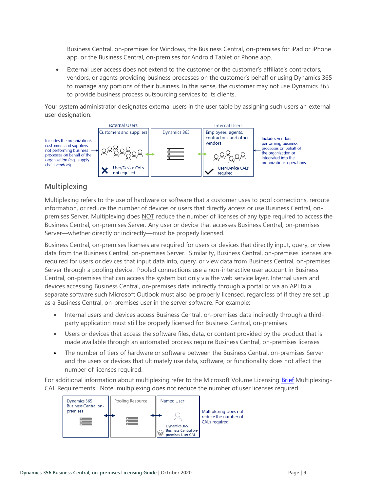Business Central, on-premises for Windows, the Business Central, on-premises for iPad or iPhone app, or the Business Central, on-premises for Android Tablet or Phone app.

• External user access does not extend to the customer or the customer's affiliate's contractors, vendors, or agents providing business processes on the customer's behalf or using Dynamics 365 to manage any portions of their business. In this sense, the customer may not use Dynamics 365 to provide business process outsourcing services to its clients.

Your system administrator designates external users in the user table by assigning such users an external user designation.



## <span id="page-10-0"></span>**Multiplexing**

Multiplexing refers to the use of hardware or software that a customer uses to pool connections, reroute information, or reduce the number of devices or users that directly access or use Business Central, onpremises Server. Multiplexing does NOT reduce the number of licenses of any type required to access the Business Central, on-premises Server. Any user or device that accesses Business Central, on-premises Server—whether directly or indirectly—must be properly licensed.

Business Central, on-premises licenses are required for users or devices that directly input, query, or view data from the Business Central, on-premises Server. Similarity, Business Central, on-premises licenses are required for users or devices that input data into, query, or view data from Business Central, on-premises Server through a pooling device. Pooled connections use a non-interactive user account in Business Central, on-premises that can access the system but only via the web service layer. Internal users and devices accessing Business Central, on-premises data indirectly through a portal or via an API to a separate software such Microsoft Outlook must also be properly licensed, regardless of if they are set up as a Business Central, on-premises user in the server software. For example:

- Internal users and devices access Business Central, on-premises data indirectly through a thirdparty application must still be properly licensed for Business Central, on-premises
- Users or devices that access the software files, data, or content provided by the product that is made available through an automated process require Business Central, on-premises licenses
- The number of tiers of hardware or software between the Business Central, on-premises Server and the users or devices that ultimately use data, software, or functionality does not affect the number of licenses required.

For additional information about multiplexing refer to the Microsoft Volume Licensing [Brief](https://www.microsoft.com/en-us/Licensing/learn-more/volume-licensing-briefs.aspx) Multiplexing-CAL Requirements. Note, multiplexing does not reduce the number of user licenses required.

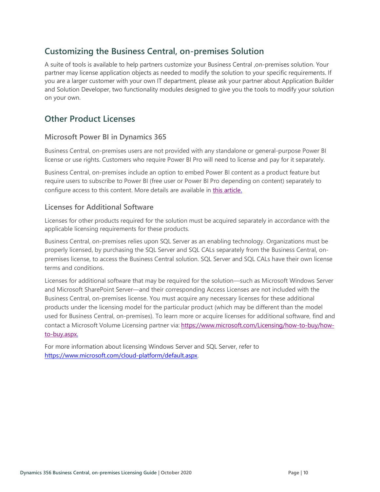# <span id="page-11-0"></span>**Customizing the Business Central, on-premises Solution**

A suite of tools is available to help partners customize your Business Central ,on-premises solution. Your partner may license application objects as needed to modify the solution to your specific requirements. If you are a larger customer with your own IT department, please ask your partner about Application Builder and Solution Developer, two functionality modules designed to give you the tools to modify your solution on your own.

## <span id="page-11-1"></span>**Other Product Licenses**

## <span id="page-11-2"></span>**Microsoft Power BI in Dynamics 365**

Business Central, on-premises users are not provided with any standalone or general-purpose Power BI license or use rights. Customers who require Power BI Pro will need to license and pay for it separately.

Business Central, on-premises include an option to embed Power BI content as a product feature but require users to subscribe to Power BI (free user or Power BI Pro depending on content) separately to configure access to this content. More details are available in [this article.](https://technet.microsoft.com/en-us/library/dn708055.aspx)

## <span id="page-11-3"></span>**Licenses for Additional Software**

Licenses for other products required for the solution must be acquired separately in accordance with the applicable licensing requirements for these products.

Business Central, on-premises relies upon SQL Server as an enabling technology. Organizations must be properly licensed, by purchasing the SQL Server and SQL CALs separately from the Business Central, onpremises license, to access the Business Central solution. SQL Server and SQL CALs have their own license terms and conditions.

Licenses for additional software that may be required for the solution—such as Microsoft Windows Server and Microsoft SharePoint Server—and their corresponding Access Licenses are not included with the Business Central, on-premises license. You must acquire any necessary licenses for these additional products under the licensing model for the particular product (which may be different than the model used for Business Central, on-premises). To learn more or acquire licenses for additional software, find and contact a Microsoft Volume Licensing partner via: [https://www.microsoft.com/Licensing/how-to-buy/how](https://www.microsoft.com/Licensing/how-to-buy/how-to-buy.aspx)[to-buy.aspx.](https://www.microsoft.com/Licensing/how-to-buy/how-to-buy.aspx) 

For more information about licensing Windows Server and SQL Server, refer to [https://www.microsoft.com/cloud-platform/default.aspx.](https://www.microsoft.com/cloud-platform/default.aspx)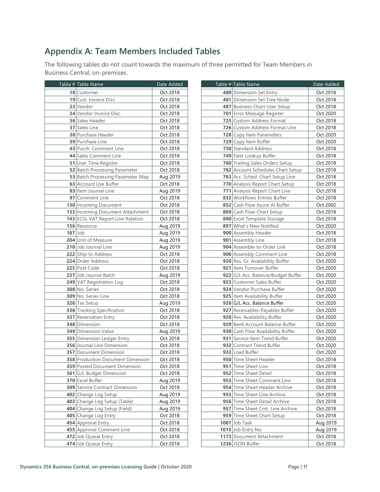# <span id="page-12-0"></span>**Appendix A: Team Members Included Tables**

The following tables do not count towards the maximum of three permitted for Team Members in Business Central, on-premises.

|           | Table # Table Name                   | Date Added |
|-----------|--------------------------------------|------------|
|           | 18 Customer                          | Oct 2018   |
|           | <b>19</b> Cust. Invoice Disc.        | Oct 2018   |
|           | 23 Vendor                            | Oct 2018   |
|           | 24 Vendor Invoice Disc.              | Oct 2018   |
|           | <b>36</b> Sales Header               | Oct 2018   |
|           | 37 Sales Line                        | Oct 2018   |
|           | <b>38</b> Purchase Header            | Oct 2018   |
|           | <b>39 Purchase Line</b>              | Oct 2018   |
|           | 43 Purch. Comment Line               | Oct 2018   |
|           | 44 Sales Comment Line                | Oct 2018   |
|           | <b>51</b> User Time Register         | Oct 2018   |
|           | <b>52</b> Batch Processing Parameter | Oct 2018   |
|           | 53 Batch Processing Parameter Map    | Aug 2019   |
|           | 63 Account Use Buffer                | Oct 2018   |
|           | 83 Item Journal Line                 | Aug 2019   |
|           | 97 Comment Line                      | Oct 2018   |
|           | 130 Incoming Document                | Oct 2018   |
|           | 133 Incoming Document Attachment     | Oct 2018   |
|           | 143 ECSL VAT Report Line Relation    | Oct 2018   |
|           | 156 Resource                         | Aug 2019   |
| $167$ Uob |                                      | Aug 2019   |
|           | 204 Unit of Measure                  | Aug 2019   |
|           | 210 Job Journal Line                 | Aug 2019   |
|           | 222 Ship-to Address                  | Oct 2018   |
|           | 224 Order Address                    | Oct 2018   |
|           | 225 Post Code                        | Oct 2018   |
|           | 237 Job Journal Batch                | Aug 2019   |
|           | 249 VAT Registration Log             | Oct 2018   |
|           | 308 No. Series                       | Oct 2018   |
|           | 309 No. Series Line                  | Oct 2018   |
|           | 326 Tax Setup                        | Aug 2019   |
|           | 336 Tracking Specification           | Oct 2018   |
|           | 337 Reservation Entry                | Oct 2018   |
|           | 348 Dimension                        | Oct 2018   |
|           | <b>349</b> Dimension Value           | Aug 2019   |
|           | 355 Dimension Ledger Entry           | Oct 2018   |
|           | <b>356</b> Journal Line Dimension    | Oct 2018   |
|           | <b>357</b> Document Dimension        | Oct 2018   |
|           | 358 Production Document Dimension    | Oct 2018   |
|           | <b>359 Posted Document Dimension</b> | Oct 2018   |
|           | 361 G/L Budget Dimension             | Oct 2018   |
|           | 370 Excel Buffer                     | Aug 2019   |
|           | 389 Service Contract Dimension       | Oct 2018   |
|           | 402 Change Log Setup                 | Aug 2019   |
|           | 403 Change Log Setup (Table)         | Aug 2019   |
|           | 404 Change Log Setup (Field)         | Aug 2019   |
|           | 405 Change Log Entry                 | Oct 2018   |
|           | 454 Approval Entry                   | Oct 2018   |
|           | 455 Approval Comment Line            | Oct 2018   |
|           | 472 Job Queue Entry                  | Oct 2018   |
|           | 474 Job Queue Entry                  | Oct 2018   |
|           |                                      |            |

| Table # Table Name                                   | Date Added           |
|------------------------------------------------------|----------------------|
| 480 Dimension Set Entry                              | Oct 2018             |
| 481 Dimension Set Tree Node                          | Oct 2018             |
| 487 Business Chart User Setup                        | Oct 2018             |
| 701 Error Message Register                           | Oct 2020             |
| 725 Custom Address Format                            | Oct 2018             |
| 726 Custom Address Format Line                       | Oct 2018             |
| 728 Copy Item Parameters                             | Oct 2020             |
| 729 Copy Item Buffer                                 | Oct 2020             |
| 730 Standard Address                                 | Oct 2018             |
| 749 Date Lookup Buffer                               | Oct 2018             |
| 760 Trailing Sales Orders Setup                      | Oct 2018             |
| 762 Account Schedules Chart Setup                    | Oct 2018             |
| 763 Acc. Sched. Chart Setup Line                     | Oct 2018             |
| 770 Analysis Report Chart Setup                      | Oct 2018             |
| 771 Analysis Report Chart Line                       | Oct 2018             |
| 832 Workflows Entries Buffer                         | Oct 2018             |
| 852 Cash Flow Azure Al Buffer                        | Oct 2002             |
| 869 Cash Flow Chart Setup                            | Oct 2018             |
| 880 Excel Template Storage                           | Oct 2018             |
| 897 What's New Notified                              | Oct 2020             |
| 900 Assembly Header                                  | Oct 2018             |
| 901 Assembly Line                                    | Oct 2018             |
| 904 Assemble-to-Order Link                           | Oct 2018             |
| 906 Assembly Comment Line                            | Oct 2018             |
| 920 Res. Gr. Availability Buffer                     | Oct 2020             |
| 921 Item Turnover Buffer                             | Oct 2020             |
| 922 G/L Acc. Balance/Budget Buffer                   | Oct 2020             |
| 923 Customer Sales Buffer                            | Oct 2020             |
| 924 Vendor Purchase Buffer                           | Oct 2020             |
| 925 Item Availability Buffer                         | Oct 2020             |
| 926 G/L Acc. Balance Buffer                          | Oct 2020             |
| 927 Receivables-Payables Buffer                      | Oct 2020             |
| 928 Res. Availability Buffer                         | Oct 2020             |
| 929 Bank Account Balance Buffer                      | Oct 2020             |
| 930 Cash Flow Availability Buffer                    | Oct 2020             |
| 931 Service Item Trend Buffer                        | Oct 2020             |
| 932 Contract Trend Buffer                            | Oct 2020             |
| 933 Load Buffer                                      | Oct 2020             |
| 950 Time Sheet Header                                | Oct 2018             |
| 951 Time Sheet Line                                  | Oct 2018             |
| 952 Time Sheet Detail<br>953 Time Sheet Comment Line | Oct 2018             |
| 954 Time Sheet Header Archive                        | Oct 2018<br>Oct 2018 |
| 955 Time Sheet Line Archive                          | Oct 2018             |
| 956 Time Sheet Detail Archive                        | Oct 2018             |
| 957 Time Sheet Cmt. Line Archive                     | Oct 2018             |
| 959 Time Sheet Chart Setup                           | Oct 2018             |
| 1001 Job Task                                        | Aug 2019             |
| 1015 Job Entry No.                                   | Aug 2019             |
| 1173 Document Attachment                             | Oct 2018             |
| 1236 JSON Buffer                                     | Oct 2018             |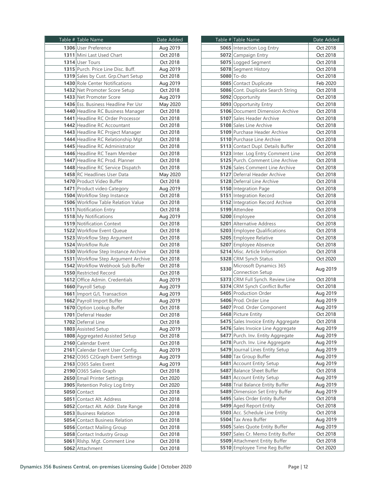| Table # Table Name                    | Date Added |  |
|---------------------------------------|------------|--|
| 1306 User Preference                  | Aug 2019   |  |
| 1311 Mini Last Used Chart             | Oct 2018   |  |
| 1314 User Tours                       | Oct 2018   |  |
| 1315 Purch. Price Line Disc. Buff.    | Aug 2019   |  |
| 1319 Sales by Cust. Grp.Chart Setup   | Oct 2018   |  |
| 1430 Role Center Notifications        | Aug 2019   |  |
| 1432 Net Promoter Score Setup         | Oct 2018   |  |
| 1433 Net Promoter Score               | Aug 2019   |  |
| 1436 Ess. Business Headline Per Usr   | May 2020   |  |
| 1440 Headline RC Business Manager     | Oct 2018   |  |
| 1441 Headline RC Order Processor      | Oct 2018   |  |
| 1442 Headline RC Accountant           | Oct 2018   |  |
| 1443 Headline RC Project Manager      | Oct 2018   |  |
| 1444 Headline RC Relationship Mgt     | Oct 2018   |  |
| 1445 Headline RC Administrator        | Oct 2018   |  |
| 1446 Headline RC Team Member          | Oct 2018   |  |
| 1447 Headline RC Prod. Planner        | Oct 2018   |  |
| 1448 Headline RC Service Dispatch     | Oct 2018   |  |
| 1458 RC Headlines User Data           | May 2020   |  |
| 1470 Product Video Buffer             | Oct 2018   |  |
| 1471 Product video Category           | Aug 2019   |  |
| 1504 Workflow Step Instance           | Oct 2018   |  |
| 1506 Workflow Table Relation Value    | Oct 2018   |  |
| 1511 Notification Entry               | Oct 2018   |  |
| 1518 My Notifications                 | Aug 2019   |  |
| 1519 Notification Context             | Oct 2018   |  |
| 1522 Workflow Event Queue             | Oct 2018   |  |
| 1523 Workflow Step Argument           | Oct 2018   |  |
| 1524 Workflow Rule                    | Oct 2018   |  |
| 1530 Workflow Step Instance Archive   | Oct 2018   |  |
| 1531 Workflow Step Argument Archive   | Oct 2018   |  |
| 1542 Workflow Webhook Sub Buffer      | Oct 2018   |  |
| 1550 Restricted Record                | Oct 2018   |  |
| 1612 Office Admin. Credentials        | Aug 2019   |  |
| 1660 Payroll Setup                    | Aug 2019   |  |
| 1661 Import G/L Transaction           | Aug 2019   |  |
| 1662 Payroll Import Buffer            | Aug 2019   |  |
| 1670 Option Lookup Buffer             | Oct 2018   |  |
| <b>1701</b> Deferral Header           | Oct 2018   |  |
| 1702 Deferral Line                    | Oct 2018   |  |
| 1803 Assisted Setup                   | Aug 2019   |  |
| 1808 Aggregated Assisted Setup        | Oct 2018   |  |
| 2160 Calendar Event                   | Oct 2018   |  |
| 2161 Calendar Event User Config.      | Aug 2019   |  |
| 2162 0365 C2Graph Event Settings      | Aug 2019   |  |
| 2163 0365 Sales Event                 | Aug 2019   |  |
| 2190 0365 Sales Graph                 | Oct 2018   |  |
| 2650 Email Printer Settings           | Oct 2020   |  |
| 3905 Retention Policy Log Entry       | Oct 2020   |  |
| 5050 Contact                          | Oct 2018   |  |
| 5051 Contact Alt. Address             | Oct 2018   |  |
|                                       |            |  |
| 5052 Contact Alt. Addr. Date Range    | Oct 2018   |  |
| <b>5053</b> Business Relation         | Oct 2018   |  |
| <b>5054</b> Contact Business Relation | Oct 2018   |  |
| 5056 Contact Mailing Group            | Oct 2018   |  |
| 5058 Contact Industry Group           | Oct 2018   |  |
| 5061 Rishp. Mgt. Comment Line         | Oct 2018   |  |
| 5062 Attachment                       | Oct 2018   |  |

|      | Table # Table Name                                         | Date Added           |  |
|------|------------------------------------------------------------|----------------------|--|
|      | 5065 Interaction Log Entry                                 | Oct 2018             |  |
|      | 5072 Campaign Entry                                        | Oct 2018             |  |
|      | 5075 Logged Segment                                        | Oct 2018             |  |
|      | 5078 Segment History                                       | Oct 2018             |  |
|      | 5080 To-do                                                 | Oct 2018             |  |
|      | 5085 Contact Duplicate                                     | Feb 2020             |  |
|      | 5086 Cont. Duplicate Search String                         | Oct 2018             |  |
|      | 5092 Opportunity                                           | Oct 2018             |  |
|      | 5093 Opportunity Entry                                     | Oct 2018             |  |
|      | 5106 Document Dimension Archive                            | Oct 2018             |  |
|      | 5107 Sales Header Archive                                  | Oct 2018             |  |
|      | 5108 Sales Line Archive                                    | Oct 2018             |  |
|      | 5109 Purchase Header Archive                               | Oct 2018             |  |
|      | 5110 Purchase Line Archive                                 | Oct 2018             |  |
|      | 5113 Contact Dupl. Details Buffer                          | Oct 2018             |  |
|      | 5123 Inter. Log Entry Comment Line                         | Oct 2018             |  |
|      | 5125 Purch. Comment Line Archive                           | Oct 2018             |  |
|      | 5126 Sales Comment Line Archive                            | Oct 2018             |  |
|      |                                                            | Oct 2018             |  |
|      | 5127 Deferral Header Archive<br>5128 Deferral Line Archive | Oct 2018             |  |
|      |                                                            |                      |  |
|      | 5150 Integration Page<br>5151 Integration Record           | Oct 2018<br>Oct 2018 |  |
|      |                                                            |                      |  |
|      | 5152 Integration Record Archive                            | Oct 2018             |  |
|      | 5199 Attendee                                              | Oct 2018             |  |
|      | 5200 Employee                                              | Oct 2018             |  |
|      | <b>5201</b> Alternative Address                            | Oct 2018             |  |
|      | 5203 Employee Qualifications                               | Oct 2018             |  |
|      | 5205 Employee Relative                                     | Oct 2018             |  |
|      | 5207 Employee Absence                                      | Oct 2018             |  |
|      | 5214 Misc. Article Information                             | Oct 2018             |  |
|      | 5328 CRM Synch Status                                      | Oct 2020             |  |
| 5330 | Microsoft Dynamics 365                                     | Aug 2019             |  |
|      | Connection Setup                                           |                      |  |
|      | 5373 CRM Full Synch. Review Line                           | Oct 2018             |  |
|      | 5374 CRM Synch Conflict Buffer                             | Oct 2018             |  |
|      | 5405 Production Order<br>Aug 2019                          |                      |  |
|      | 5406 Prod. Order Line                                      | Aug 2019             |  |
|      | 5407 Prod. Order Component                                 | Aug 2019             |  |
|      | 5468 Picture Entity                                        | Oct 2018             |  |
|      | 5475 Sales Invoice Entity Aggregate                        | Oct 2018             |  |
|      | 5476 Sales Invoice Line Aggregate                          | Aug 2019             |  |
|      | 5477 Purch. Inv. Entity Aggregate                          | Aug 2019             |  |
|      | 5478 Purch. Inv. Line Aggregate                            | Aug 2019             |  |
|      | 5479 Journal Lines Entity Setup                            | Aug 2019             |  |
|      | 5480 Tax Group Buffer                                      | Aug 2019             |  |
|      | 5481 Account Entity Setup                                  | Aug 2019             |  |
|      | 5487 Balance Sheet Buffer                                  | Oct 2018             |  |
|      | 5481 Account Entity Setup                                  | Aug 2019             |  |
|      | 5488 Trial Balance Entity Buffer                           | Aug 2019             |  |
|      | 5489 Dimension Set Entry Buffer                            | Aug 2019             |  |
|      | 5495 Sales Order Entity Buffer                             | Oct 2018             |  |
|      | 5499 Aged Report Entity                                    | Oct 2018             |  |
|      | 5503 Acc. Schedule Line Entity                             | Oct 2018             |  |
|      | 5504 Tax Area Buffer                                       | Aug 2019             |  |
|      | 5505 Sales Quote Entity Buffer                             | Aug 2019             |  |
|      | 5507 Sales Cr. Memo Entity Buffer                          | Oct 2018             |  |
|      | 5509 Attachment Entity Buffer                              | Oct 2018             |  |
|      | 5510 Employee Time Reg Buffer                              | Oct 2020             |  |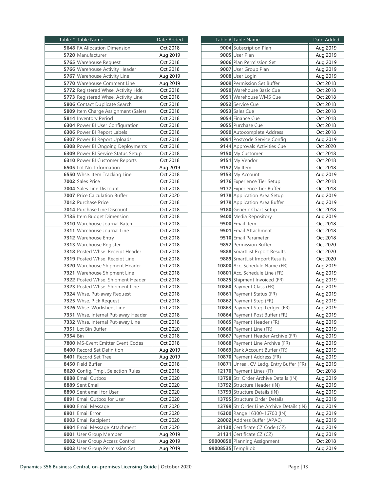|                 | Table # Table Name                   | Date Added |  |
|-----------------|--------------------------------------|------------|--|
|                 | <b>5648</b> FA Allocation Dimension  | Oct 2018   |  |
|                 | 5720 Manufacturer                    | Aug 2019   |  |
|                 | 5765 Warehouse Request               | Oct 2018   |  |
|                 | 5766 Warehouse Activity Header       | Oct 2018   |  |
|                 | 5767 Warehouse Activity Line         | Aug 2019   |  |
|                 | 5770 Warehouse Comment Line          | Aug 2019   |  |
|                 | 5772 Registered Whse. Activity Hdr.  | Oct 2018   |  |
|                 | 5773 Registered Whse. Activity Line  | Oct 2018   |  |
|                 | <b>5806</b> Contact Duplicate Search | Oct 2018   |  |
|                 | 5809 Item Charge Assignment (Sales)  | Oct 2018   |  |
|                 | 5814 Inventory Period                |            |  |
|                 |                                      | Oct 2018   |  |
|                 | 6304 Power BI User Configuration     | Oct 2018   |  |
|                 | 6306 Power BI Report Labels          | Oct 2018   |  |
|                 | 6307 Power BI Report Uploads         | Oct 2018   |  |
|                 | 6308 Power BI Ongoing Deployments    | Oct 2018   |  |
|                 | 6309 Power BI Service Status Setup   | Oct 2018   |  |
|                 | 6310 Power BI Customer Reports       | Oct 2018   |  |
|                 | 6505 Lot No. Information             | Aug 2019   |  |
|                 | 6550 Whse. Item Tracking Line        | Oct 2018   |  |
|                 | 7002 Sales Price                     | Oct 2018   |  |
|                 | 7004 Sales Line Discount             | Oct 2018   |  |
|                 | 7007 Price Calculation Buffer        | Oct 2020   |  |
|                 | 7012 Purchase Price                  | Oct 2018   |  |
|                 | 7014 Purchase Line Discount          | Oct 2018   |  |
|                 | 7135 Item Budget Dimension           | Oct 2018   |  |
|                 | 7310 Warehouse Journal Batch         | Oct 2018   |  |
|                 | 7311 Warehouse Journal Line          | Oct 2018   |  |
|                 | 7312 Warehouse Entry                 | Oct 2018   |  |
|                 | 7313 Warehouse Register              | Oct 2018   |  |
|                 | 7318 Posted Whse. Receipt Header     | Oct 2018   |  |
|                 | 7319 Posted Whse. Receipt Line       | Oct 2018   |  |
|                 | 7320 Warehouse Shipment Header       | Oct 2018   |  |
|                 | 7321 Warehouse Shipment Line         | Oct 2018   |  |
|                 | 7322 Posted Whse. Shipment Header    | Oct 2018   |  |
|                 | 7323 Posted Whse. Shipment Line      | Oct 2018   |  |
|                 | 7324 Whse. Put-away Request          | Oct 2018   |  |
|                 | 7325 Whse. Pick Request              | Oct 2018   |  |
|                 | 7326 Whse. Worksheet Line            | Oct 2018   |  |
|                 | 7331 Whse. Internal Put-away Header  | Oct 2018   |  |
|                 |                                      |            |  |
|                 | 7332 Whse. Internal Put-away Line    | Oct 2018   |  |
|                 | 7351 Lot Bin Buffer                  | Oct 2020   |  |
| <b>7354</b> Bin |                                      | Oct 2018   |  |
|                 | 7800 MS-Event Emitter Event Codes    | Oct 2018   |  |
|                 | 8400 Record Set Definition           | Aug 2019   |  |
|                 | 8401 Record Set Tree                 | Aug 2019   |  |
|                 | 8450 Field Buffer                    | Oct 2018   |  |
|                 | 8620 Config. Tmpl. Selection Rules   | Oct 2018   |  |
|                 | 8888 Email Outbox                    | Oct 2020   |  |
|                 | 8889 Sent Email                      | Oct 2020   |  |
|                 | 8890 Sent email for User             | Oct 2020   |  |
|                 | 8891 Email Outbox for User           | Oct 2020   |  |
|                 | 8900 Email Message                   | Oct 2020   |  |
|                 | 8901 Email Error                     | Oct 2020   |  |
|                 | 8903 Email Recipient                 | Oct 2020   |  |
|                 | 8904 Email Message Attachment        | Oct 2020   |  |
|                 | 9001 User Group Member               | Aug 2019   |  |
|                 | 9002 User Group Access Control       | Aug 2019   |  |
|                 | 9003 User Group Permission Set       | Aug 2019   |  |
|                 |                                      |            |  |

| Table # Table Name                        | Date Added           |  |
|-------------------------------------------|----------------------|--|
| 9004 Subscription Plan                    | Aug 2019             |  |
| 9005 User Plan                            | Aug 2019             |  |
| 9006 Plan Permission Set                  | Aug 2019             |  |
| 9007 User Group Plan                      | Aug 2019             |  |
| 9008 User Login                           | Aug 2019             |  |
| 9009 Permission Set Buffer                | Oct 2018             |  |
| 9050 Warehouse Basic Cue                  | Oct 2018             |  |
| 9051 Warehouse WMS Cue                    | Oct 2018             |  |
| 9052 Service Cue                          | Oct 2018             |  |
| 9053 Sales Cue                            | Oct 2018             |  |
| 9054 Finance Cue                          |                      |  |
| 9055 Purchase Cue                         | Oct 2018<br>Oct 2018 |  |
|                                           |                      |  |
| 9090 Autocomplete Address                 | Oct 2018             |  |
| 9091 Postcode Service Config              | Aug 2019             |  |
| 9144 Approvals Activities Cue             | Oct 2020             |  |
| 9150 My Customer                          | Oct 2018             |  |
| 9151 My Vendor                            | Oct 2018             |  |
| 9152 My Item                              | Oct 2018             |  |
| 9153 My Account                           | Aug 2019             |  |
| 9176 Experience Tier Setup                | Oct 2018             |  |
| 9177 Experience Tier Buffer               | Oct 2018             |  |
| 9178 Application Area Setup               | Aug 2019             |  |
| 9179 Application Area Buffer              | Aug 2019             |  |
| 9180 Generic Chart Setup                  | Oct 2018             |  |
| 9400 Media Repository                     | Aug 2019             |  |
| 9500 Email Item                           | Oct 2018             |  |
| 9501 Email Attachment                     | Oct 2018             |  |
| 9510 Email Parameter                      | Oct 2018             |  |
| 9852 Permission Buffer                    | Oct 2020             |  |
| 9888 SmartList Export Results             | Oct 2020             |  |
| 9889 SmartList Import Results             | Oct 2020             |  |
| 10800 Acc. Schedule Name (FR)             | Aug 2019             |  |
| 10801 Acc. Schedule Line (FR)             | Aug 2019             |  |
| 10825 Shipment Invoiced (FR)              | Aug 2019             |  |
| 10860 Payment Class (FR)                  | Aug 2019             |  |
| 10861 Payment Status (FR)                 | Aug 2019             |  |
| 10862 Payment Step (FR)                   | Aug 2019             |  |
| 10863 Payment Step Ledger (FR)            | Aug 2019             |  |
| <b>10864 Payment Post Buffer (FR)</b>     |                      |  |
|                                           | Aug 2019             |  |
| 10865 Payment Header (FR)                 | Aug 2019             |  |
| 10866 Payment Line (FR)                   | Aug 2019             |  |
| 10867 Payment Header Archive (FR)         | Aug 2019             |  |
| 10868 Payment Line Archive (FR)           | Aug 2019             |  |
| 10869 Bank Account Buffer (FR)            | Aug 2019             |  |
| 10870 Payment Address (FR)                | Aug 2019             |  |
| 10871 Unreal. CV Ledg. Entry Buffer (FR)  | Aug 2019             |  |
| 12170 Payment Lines (IT)                  | Oct 2018             |  |
| 13758 Str. Order Archive Details (IN)     | Aug 2019             |  |
| 13792 Structure Header (IN)               | Aug 2019             |  |
| 13793 Structure Details (IN)              | Aug 2019             |  |
| 13795 Structure Order Details             | Aug 2019             |  |
| 13799 Str Order Line Archive Details (IN) | Aug 2019             |  |
| 16300 Range 16300-16700 (IN)              | Aug 2019             |  |
| 28002 Address Buffer (APAC)               | Aug 2019             |  |
| 31130 Certificate CZ Code (CZ)            | Aug 2019             |  |
| 31131 Certificate CZ (CZ)                 | Aug 2019             |  |
| 99000850 Planning Assignment              | Oct 2018             |  |
| 99008535 TempBlob                         | Aug 2019             |  |
|                                           |                      |  |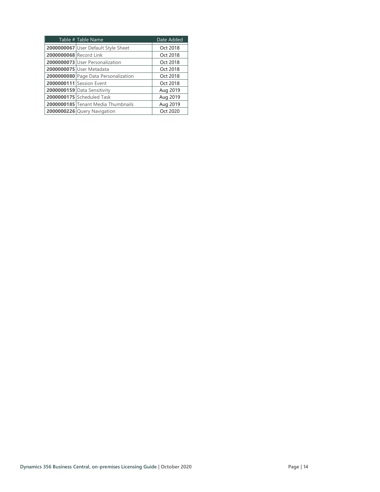| Table # Table Name                   | Date Added |
|--------------------------------------|------------|
| 2000000067 User Default Style Sheet  | Oct 2018   |
| 2000000068 Record Link               |            |
| 2000000073 User Personalization      | Oct 2018   |
| 2000000075 User Metadata             | Oct 2018   |
| 2000000080 Page Data Personalization | Oct 2018   |
| 2000000111 Session Event             | Oct 2018   |
| 2000000159 Data Sensitivity          | Aug 2019   |
| 2000000175 Scheduled Task            | Aug 2019   |
| 2000000185 Tenant Media Thumbnails   | Aug 2019   |
| 2000000226 Query Navigation          | Oct 2020   |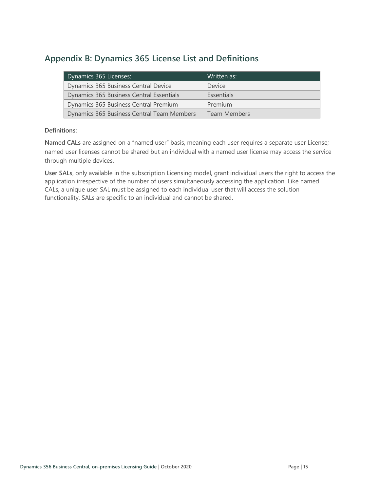# <span id="page-16-0"></span>**Appendix B: Dynamics 365 License List and Definitions**

| Dynamics 365 Licenses:                     | Written as:  |
|--------------------------------------------|--------------|
| Dynamics 365 Business Central Device       | Device       |
| Dynamics 365 Business Central Essentials   | Essentials   |
| Dynamics 365 Business Central Premium      | Premium      |
| Dynamics 365 Business Central Team Members | Team Members |

#### **Definitions:**

<span id="page-16-1"></span>**Named CALs** are assigned on a "named user" basis, meaning each user requires a separate user License; named user licenses cannot be shared but an individual with a named user license may access the service through multiple devices.

<span id="page-16-2"></span>**User SALs**, only available in the subscription Licensing model, grant individual users the right to access the application irrespective of the number of users simultaneously accessing the application. Like named CALs, a unique user SAL must be assigned to each individual user that will access the solution functionality. SALs are specific to an individual and cannot be shared.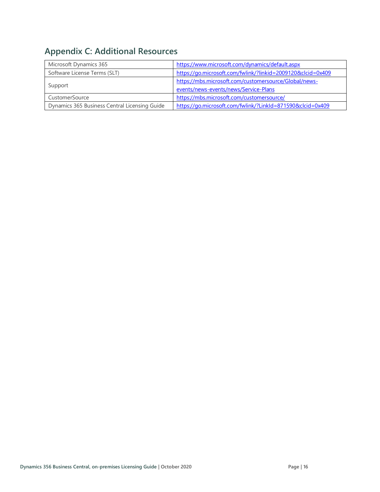# <span id="page-17-0"></span>**Appendix C: Additional Resources**

| Microsoft Dynamics 365                        | https://www.microsoft.com/dynamics/default.aspx             |  |
|-----------------------------------------------|-------------------------------------------------------------|--|
| Software License Terms (SLT)                  | https://go.microsoft.com/fwlink/?linkid=2009120&clcid=0x409 |  |
|                                               | https://mbs.microsoft.com/customersource/Global/news-       |  |
| Support                                       | events/news-events/news/Service-Plans                       |  |
| CustomerSource                                | https://mbs.microsoft.com/customersource/                   |  |
| Dynamics 365 Business Central Licensing Guide | https://go.microsoft.com/fwlink/?LinkId=871590&clcid=0x409  |  |